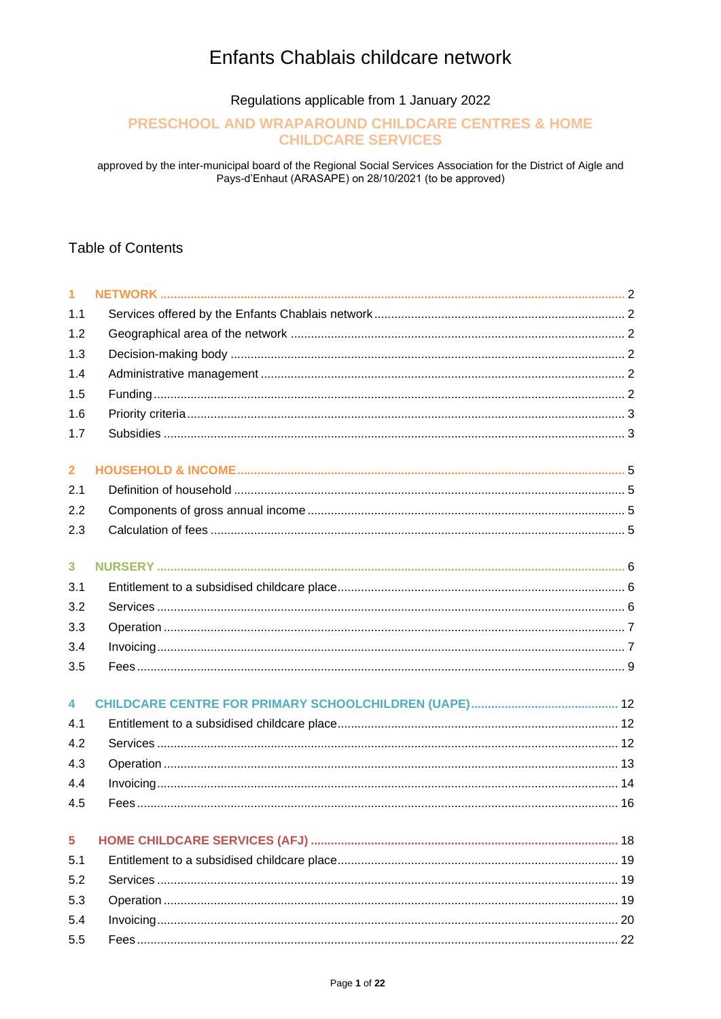# Enfants Chablais childcare network

Regulations applicable from 1 January 2022

# PRESCHOOL AND WRAPAROUND CHILDCARE CENTRES & HOME **CHILDCARE SERVICES**

approved by the inter-municipal board of the Regional Social Services Association for the District of Aigle and Pays-d'Enhaut (ARASAPE) on 28/10/2021 (to be approved)

# **Table of Contents**

| $\overline{1}$          |  |
|-------------------------|--|
| 1.1                     |  |
| 1.2                     |  |
| 1.3                     |  |
| 1.4                     |  |
| 1.5                     |  |
| 1.6                     |  |
| 1.7                     |  |
| $\overline{2}$          |  |
| 2.1                     |  |
| 2.2                     |  |
| 2.3                     |  |
|                         |  |
| $\overline{\mathbf{3}}$ |  |
| 3.1                     |  |
| 3.2                     |  |
| 3.3                     |  |
| 3.4                     |  |
| 3.5                     |  |
| $\overline{\mathbf{4}}$ |  |
| 4.1                     |  |
| 4.2                     |  |
| 4.3                     |  |
| 4.4                     |  |
| 4.5                     |  |
| 5                       |  |
| 5.1                     |  |
| 5.2                     |  |
| 5.3                     |  |
| 5.4                     |  |
| 5.5                     |  |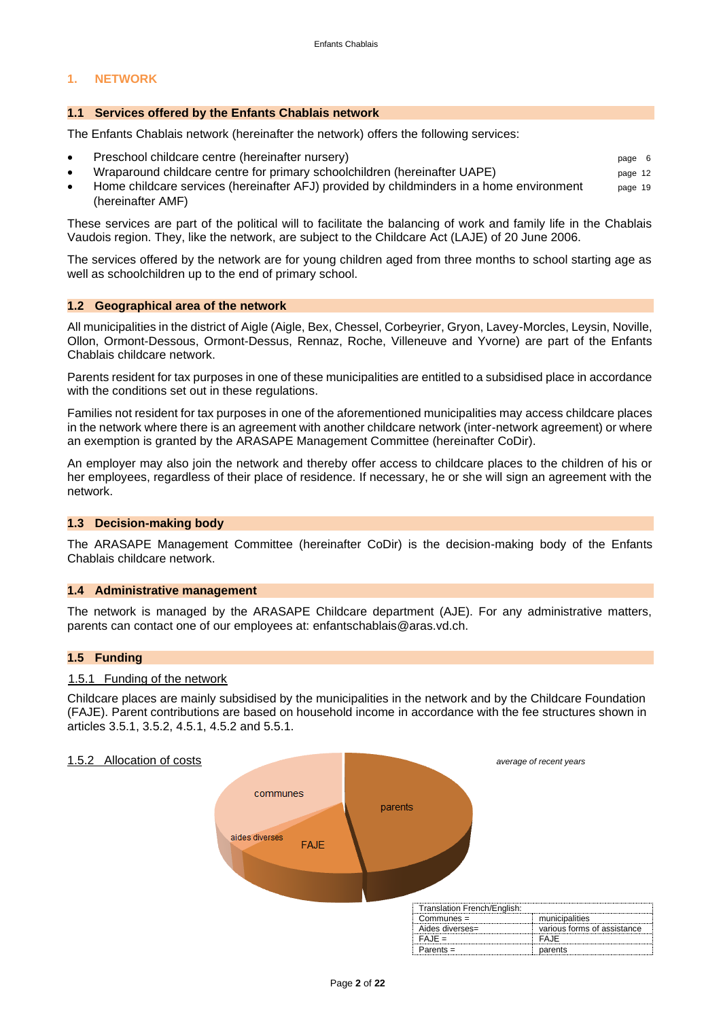#### <span id="page-1-0"></span>**1. NETWORK**

#### <span id="page-1-1"></span>**1.1 Services offered by the Enfants Chablais network**

The Enfants Chablais network (hereinafter the network) offers the following services:

- Preschool childcare centre (hereinafter nursery) **page 12** and the state of the control of the control of the control of the control of the control of the control of the control of the control of the control of the contr
- Wraparound childcare centre for primary schoolchildren (hereinafter UAPE) page 12
- Home childcare services (hereinafter AFJ) provided by childminders in a home environment page 19 (hereinafter AMF)

These services are part of the political will to facilitate the balancing of work and family life in the Chablais Vaudois region. They, like the network, are subject to the Childcare Act (LAJE) of 20 June 2006.

The services offered by the network are for young children aged from three months to school starting age as well as schoolchildren up to the end of primary school.

#### <span id="page-1-2"></span>**1.2 Geographical area of the network**

All municipalities in the district of Aigle (Aigle, Bex, Chessel, Corbeyrier, Gryon, Lavey-Morcles, Leysin, Noville, Ollon, Ormont-Dessous, Ormont-Dessus, Rennaz, Roche, Villeneuve and Yvorne) are part of the Enfants Chablais childcare network.

Parents resident for tax purposes in one of these municipalities are entitled to a subsidised place in accordance with the conditions set out in these regulations.

Families not resident for tax purposes in one of the aforementioned municipalities may access childcare places in the network where there is an agreement with another childcare network (inter-network agreement) or where an exemption is granted by the ARASAPE Management Committee (hereinafter CoDir).

An employer may also join the network and thereby offer access to childcare places to the children of his or her employees, regardless of their place of residence. If necessary, he or she will sign an agreement with the network.

#### **1.3 Decision-making body**

The ARASAPE Management Committee (hereinafter CoDir) is the decision-making body of the Enfants Chablais childcare network.

#### <span id="page-1-3"></span>**1.4 Administrative management**

The network is managed by the ARASAPE Childcare department (AJE). For any administrative matters, parents can contact one of our employees at: enfantschablais@aras.vd.ch.

#### <span id="page-1-4"></span>**1.5 Funding**

#### 1.5.1 Funding of the network

Childcare places are mainly subsidised by the municipalities in the network and by the Childcare Foundation (FAJE). Parent contributions are based on household income in accordance with the fee structures shown in articles 3.5.1, 3.5.2, 4.5.1, 4.5.2 and 5.5.1.

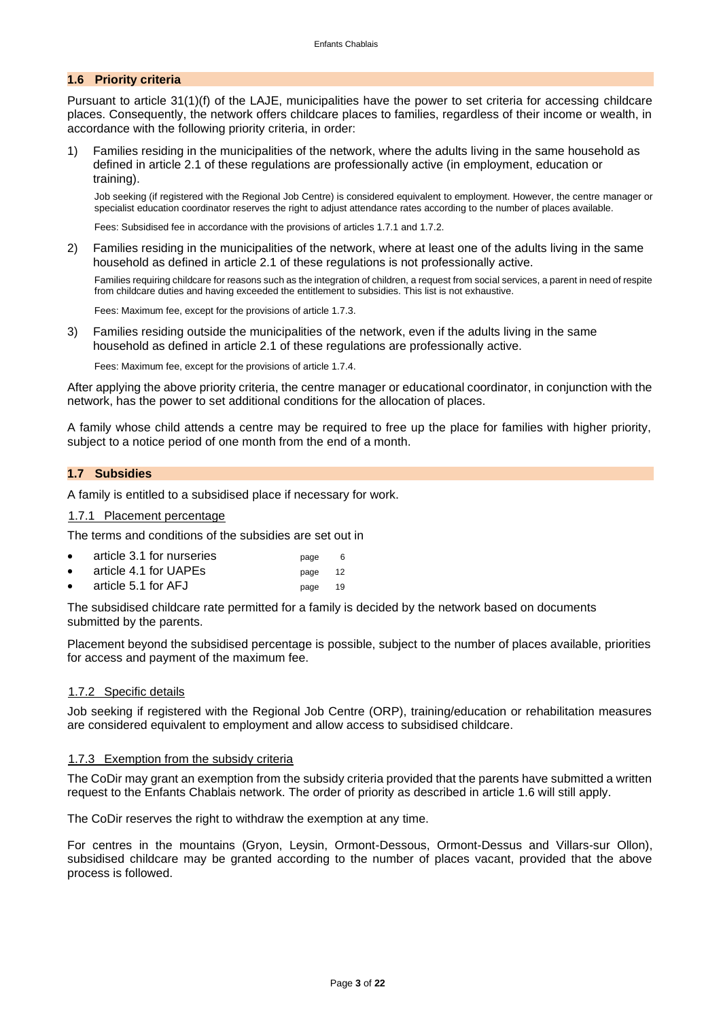#### <span id="page-2-0"></span>**1.6 Priority criteria**

Pursuant to article 31(1)(f) of the LAJE, municipalities have the power to set criteria for accessing childcare places. Consequently, the network offers childcare places to families, regardless of their income or wealth, in accordance with the following priority criteria, in order:

1) Families residing in the municipalities of the network, where the adults living in the same household as defined in article 2.1 of these regulations are professionally active (in employment, education or training).

Job seeking (if registered with the Regional Job Centre) is considered equivalent to employment. However, the centre manager or specialist education coordinator reserves the right to adjust attendance rates according to the number of places available.

Fees: Subsidised fee in accordance with the provisions of articles 1.7.1 and 1.7.2.

2) Families residing in the municipalities of the network, where at least one of the adults living in the same household as defined in article 2.1 of these regulations is not professionally active.

Families requiring childcare for reasons such as the integration of children, a request from social services, a parent in need of respite from childcare duties and having exceeded the entitlement to subsidies. This list is not exhaustive.

Fees: Maximum fee, except for the provisions of article 1.7.3.

3) Families residing outside the municipalities of the network, even if the adults living in the same household as defined in article 2.1 of these regulations are professionally active.

Fees: Maximum fee, except for the provisions of article 1.7.4.

After applying the above priority criteria, the centre manager or educational coordinator, in conjunction with the network, has the power to set additional conditions for the allocation of places.

A family whose child attends a centre may be required to free up the place for families with higher priority, subject to a notice period of one month from the end of a month.

#### <span id="page-2-1"></span>**1.7 Subsidies**

A family is entitled to a subsidised place if necessary for work.

#### 1.7.1 Placement percentage

The terms and conditions of the subsidies are set out in

| article 3.1 for nurseries | page |     |
|---------------------------|------|-----|
| article 4.1 for UAPEs     | page | -12 |

article 5.1 for AFJ page 19

The subsidised childcare rate permitted for a family is decided by the network based on documents submitted by the parents.

Placement beyond the subsidised percentage is possible, subject to the number of places available, priorities for access and payment of the maximum fee.

#### 1.7.2 Specific details

Job seeking if registered with the Regional Job Centre (ORP), training/education or rehabilitation measures are considered equivalent to employment and allow access to subsidised childcare.

#### 1.7.3 Exemption from the subsidy criteria

The CoDir may grant an exemption from the subsidy criteria provided that the parents have submitted a written request to the Enfants Chablais network. The order of priority as described in article 1.6 will still apply.

The CoDir reserves the right to withdraw the exemption at any time.

For centres in the mountains (Gryon, Leysin, Ormont-Dessous, Ormont-Dessus and Villars-sur Ollon), subsidised childcare may be granted according to the number of places vacant, provided that the above process is followed.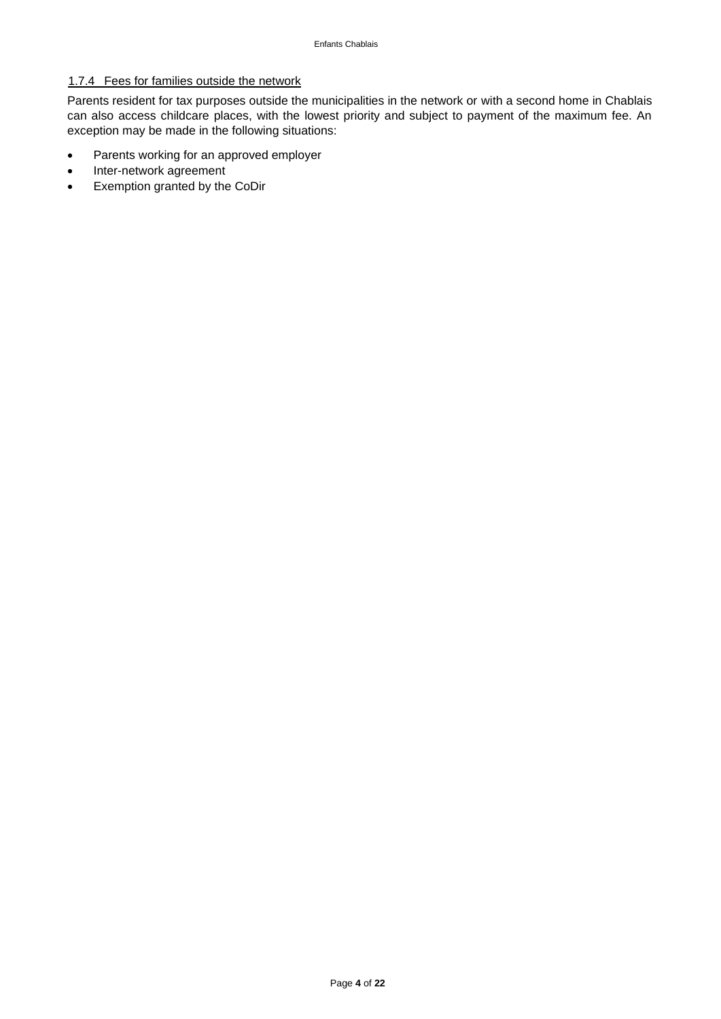# 1.7.4 Fees for families outside the network

Parents resident for tax purposes outside the municipalities in the network or with a second home in Chablais can also access childcare places, with the lowest priority and subject to payment of the maximum fee. An exception may be made in the following situations:

- Parents working for an approved employer
- Inter-network agreement
- Exemption granted by the CoDir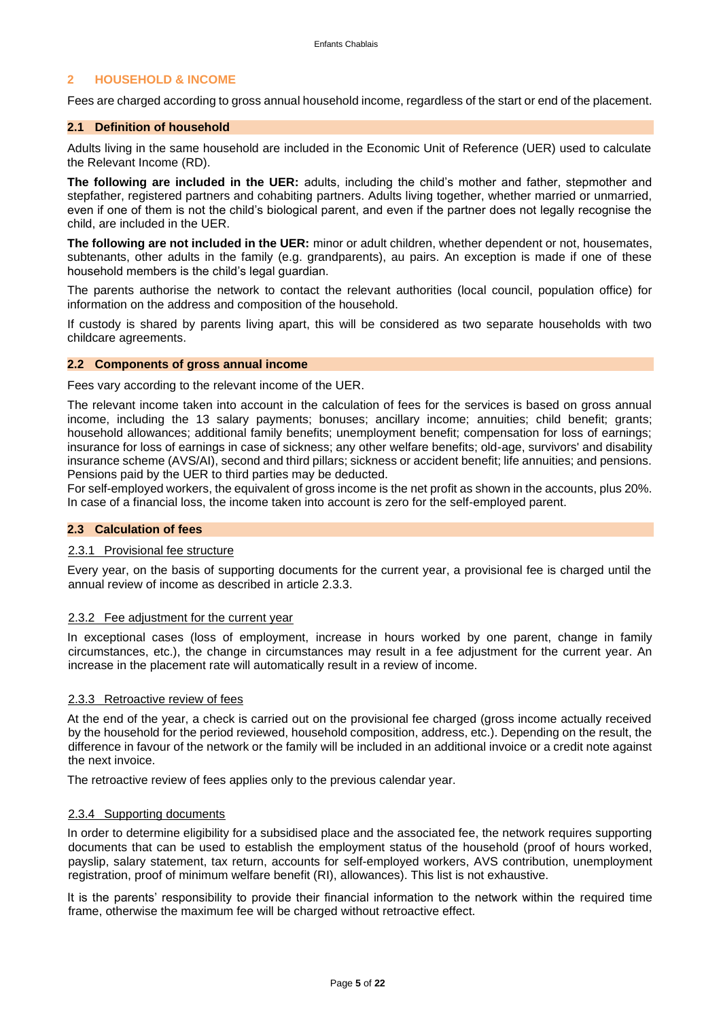#### <span id="page-4-0"></span>**2 HOUSEHOLD & INCOME**

Fees are charged according to gross annual household income, regardless of the start or end of the placement.

#### <span id="page-4-1"></span>**2.1 Definition of household**

Adults living in the same household are included in the Economic Unit of Reference (UER) used to calculate the Relevant Income (RD).

**The following are included in the UER:** adults, including the child's mother and father, stepmother and stepfather, registered partners and cohabiting partners. Adults living together, whether married or unmarried, even if one of them is not the child's biological parent, and even if the partner does not legally recognise the child, are included in the UER.

**The following are not included in the UER:** minor or adult children, whether dependent or not, housemates, subtenants, other adults in the family (e.g. grandparents), au pairs. An exception is made if one of these household members is the child's legal guardian.

The parents authorise the network to contact the relevant authorities (local council, population office) for information on the address and composition of the household.

If custody is shared by parents living apart, this will be considered as two separate households with two childcare agreements.

#### <span id="page-4-2"></span>**2.2 Components of gross annual income**

Fees vary according to the relevant income of the UER.

The relevant income taken into account in the calculation of fees for the services is based on gross annual income, including the 13 salary payments; bonuses; ancillary income; annuities; child benefit; grants; household allowances; additional family benefits; unemployment benefit; compensation for loss of earnings; insurance for loss of earnings in case of sickness; any other welfare benefits; old-age, survivors' and disability insurance scheme (AVS/AI), second and third pillars; sickness or accident benefit; life annuities; and pensions. Pensions paid by the UER to third parties may be deducted.

For self-employed workers, the equivalent of gross income is the net profit as shown in the accounts, plus 20%. In case of a financial loss, the income taken into account is zero for the self-employed parent.

#### **2.3 Calculation of fees**

#### 2.3.1 Provisional fee structure

Every year, on the basis of supporting documents for the current year, a provisional fee is charged until the annual review of income as described in article 2.3.3.

#### 2.3.2 Fee adjustment for the current year

In exceptional cases (loss of employment, increase in hours worked by one parent, change in family circumstances, etc.), the change in circumstances may result in a fee adjustment for the current year. An increase in the placement rate will automatically result in a review of income.

#### 2.3.3 Retroactive review of fees

At the end of the year, a check is carried out on the provisional fee charged (gross income actually received by the household for the period reviewed, household composition, address, etc.). Depending on the result, the difference in favour of the network or the family will be included in an additional invoice or a credit note against the next invoice.

The retroactive review of fees applies only to the previous calendar year.

#### 2.3.4 Supporting documents

In order to determine eligibility for a subsidised place and the associated fee, the network requires supporting documents that can be used to establish the employment status of the household (proof of hours worked, payslip, salary statement, tax return, accounts for self-employed workers, AVS contribution, unemployment registration, proof of minimum welfare benefit (RI), allowances). This list is not exhaustive.

It is the parents' responsibility to provide their financial information to the network within the required time frame, otherwise the maximum fee will be charged without retroactive effect.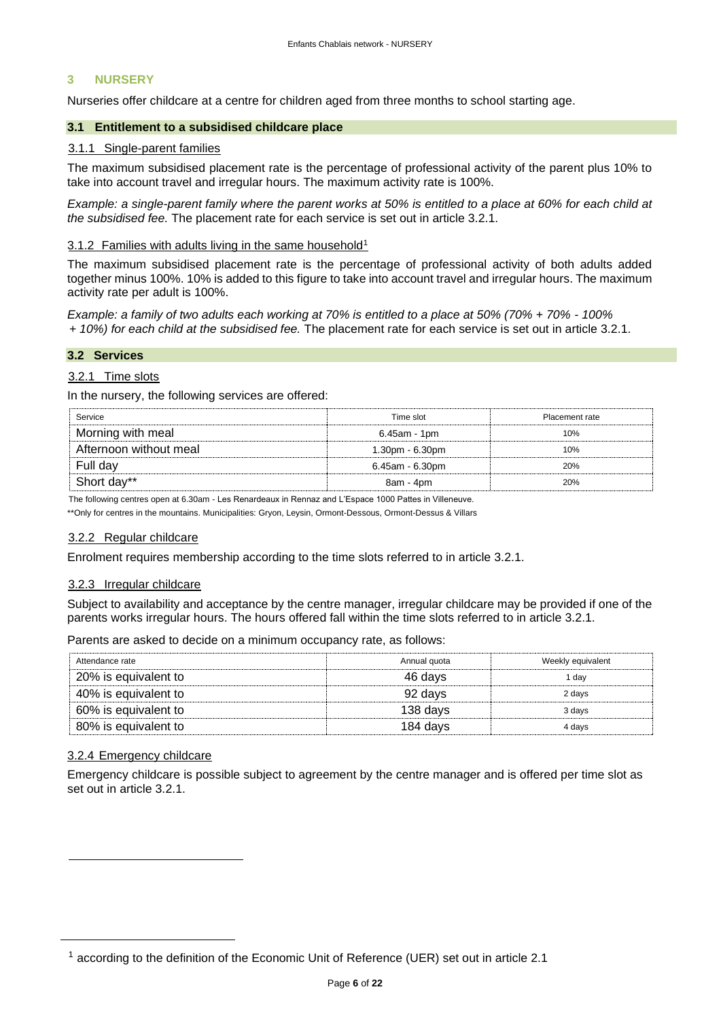#### <span id="page-5-0"></span>**3 NURSERY**

Nurseries offer childcare at a centre for children aged from three months to school starting age.

#### **3.1 Entitlement to a subsidised childcare place**

#### 3.1.1 Single-parent families

The maximum subsidised placement rate is the percentage of professional activity of the parent plus 10% to take into account travel and irregular hours. The maximum activity rate is 100%.

*Example: a single-parent family where the parent works at 50% is entitled to a place at 60% for each child at the subsidised fee.* The placement rate for each service is set out in article 3.2.1.

#### 3.1.2 Families with adults living in the same household<sup>1</sup>

The maximum subsidised placement rate is the percentage of professional activity of both adults added together minus 100%. 10% is added to this figure to take into account travel and irregular hours. The maximum activity rate per adult is 100%.

*Example: a family of two adults each working at 70% is entitled to a place at 50% (70% + 70% - 100% + 10%) for each child at the subsidised fee.* The placement rate for each service is set out in article 3.2.1.

#### **3.2 Services**

#### 3.2.1 Time slots

In the nursery, the following services are offered:

| Service                | Time slot       | Placement rate |
|------------------------|-----------------|----------------|
| Morning with meal      | 6.45am - 1pm    | 10%            |
| Afternoon without meal | 1.30pm - 6.30pm | 10%            |
| Full day               | 6.45am - 6.30pm | 20%            |
| Short day**            | 8am - 4pm       | 20%            |

The following centres open at 6.30am - Les Renardeaux in Rennaz and L'Espace 1000 Pattes in Villeneuve.

\*\*Only for centres in the mountains. Municipalities: Gryon, Leysin, Ormont-Dessous, Ormont-Dessus & Villars

#### 3.2.2 Regular childcare

Enrolment requires membership according to the time slots referred to in article 3.2.1.

#### 3.2.3 Irregular childcare

Subject to availability and acceptance by the centre manager, irregular childcare may be provided if one of the parents works irregular hours. The hours offered fall within the time slots referred to in article 3.2.1.

Parents are asked to decide on a minimum occupancy rate, as follows:

| Attendance rate      | Annual quota | Weekly equivalent |
|----------------------|--------------|-------------------|
| 20% is equivalent to | 46 davs      | dav               |
| 40% is equivalent to | 92 davs      | 2 days            |
| 60% is equivalent to | 138 days     | 3 days            |
| 80% is equivalent to | 184 days     | 4 davs            |

#### 3.2.4 Emergency childcare

Emergency childcare is possible subject to agreement by the centre manager and is offered per time slot as set out in article 3.2.1.

<sup>&</sup>lt;sup>1</sup> according to the definition of the Economic Unit of Reference (UER) set out in article 2.1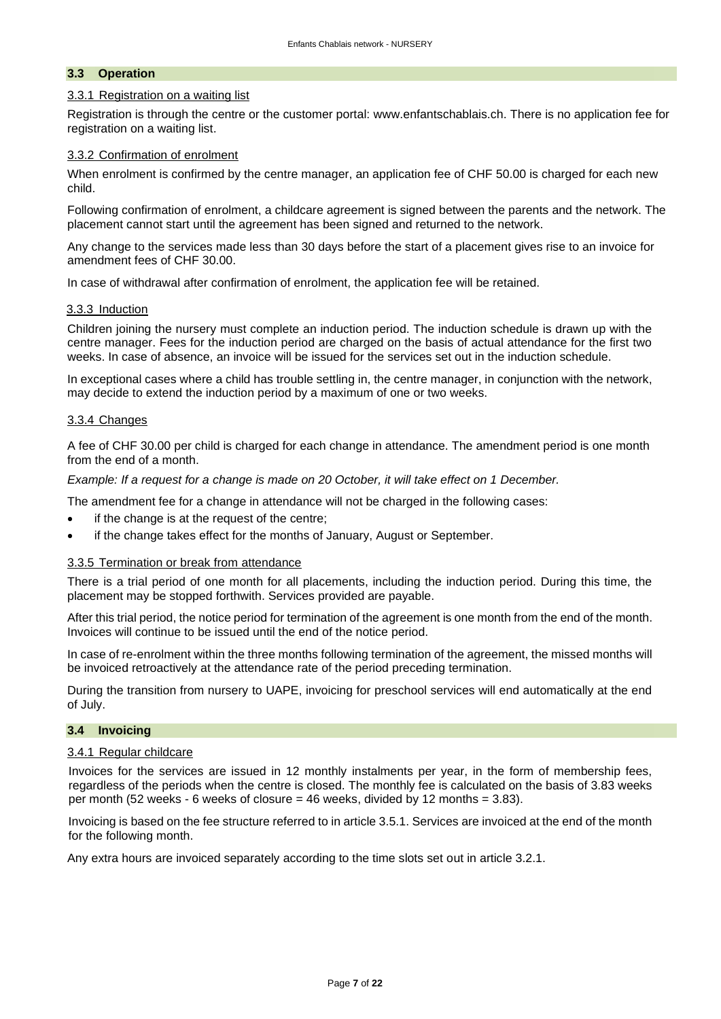#### <span id="page-6-0"></span>**3.3 Operation**

#### 3.3.1 Registration on a waiting list

Registration is through the centre or the customer portal: www.enfantschablais.ch. There is no application fee for registration on a waiting list.

#### 3.3.2 Confirmation of enrolment

When enrolment is confirmed by the centre manager, an application fee of CHF 50.00 is charged for each new child.

Following confirmation of enrolment, a childcare agreement is signed between the parents and the network. The placement cannot start until the agreement has been signed and returned to the network.

Any change to the services made less than 30 days before the start of a placement gives rise to an invoice for amendment fees of CHF 30.00.

In case of withdrawal after confirmation of enrolment, the application fee will be retained.

#### 3.3.3 Induction

Children joining the nursery must complete an induction period. The induction schedule is drawn up with the centre manager. Fees for the induction period are charged on the basis of actual attendance for the first two weeks. In case of absence, an invoice will be issued for the services set out in the induction schedule.

In exceptional cases where a child has trouble settling in, the centre manager, in conjunction with the network, may decide to extend the induction period by a maximum of one or two weeks.

#### 3.3.4 Changes

A fee of CHF 30.00 per child is charged for each change in attendance. The amendment period is one month from the end of a month.

*Example: If a request for a change is made on 20 October, it will take effect on 1 December.*

The amendment fee for a change in attendance will not be charged in the following cases:

- if the change is at the request of the centre;
- if the change takes effect for the months of January, August or September.

#### 3.3.5 Termination or break from attendance

There is a trial period of one month for all placements, including the induction period. During this time, the placement may be stopped forthwith. Services provided are payable.

After this trial period, the notice period for termination of the agreement is one month from the end of the month. Invoices will continue to be issued until the end of the notice period.

In case of re-enrolment within the three months following termination of the agreement, the missed months will be invoiced retroactively at the attendance rate of the period preceding termination.

During the transition from nursery to UAPE, invoicing for preschool services will end automatically at the end of July.

#### <span id="page-6-1"></span>**3.4 Invoicing**

#### 3.4.1 Regular childcare

Invoices for the services are issued in 12 monthly instalments per year, in the form of membership fees, regardless of the periods when the centre is closed. The monthly fee is calculated on the basis of 3.83 weeks per month (52 weeks - 6 weeks of closure = 46 weeks, divided by 12 months = 3.83).

Invoicing is based on the fee structure referred to in article 3.5.1. Services are invoiced at the end of the month for the following month.

Any extra hours are invoiced separately according to the time slots set out in article 3.2.1.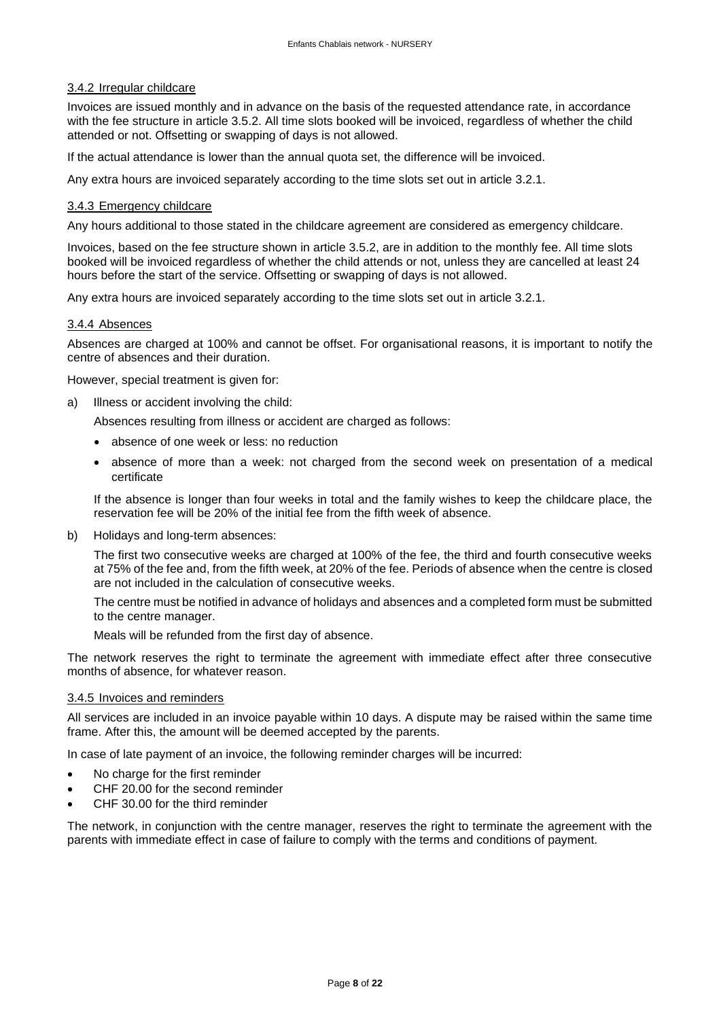#### 3.4.2 Irregular childcare

Invoices are issued monthly and in advance on the basis of the requested attendance rate, in accordance with the fee structure in article 3.5.2. All time slots booked will be invoiced, regardless of whether the child attended or not. Offsetting or swapping of days is not allowed.

If the actual attendance is lower than the annual quota set, the difference will be invoiced.

Any extra hours are invoiced separately according to the time slots set out in article 3.2.1.

#### 3.4.3 Emergency childcare

Any hours additional to those stated in the childcare agreement are considered as emergency childcare.

Invoices, based on the fee structure shown in article 3.5.2, are in addition to the monthly fee. All time slots booked will be invoiced regardless of whether the child attends or not, unless they are cancelled at least 24 hours before the start of the service. Offsetting or swapping of days is not allowed.

Any extra hours are invoiced separately according to the time slots set out in article 3.2.1.

#### 3.4.4 Absences

Absences are charged at 100% and cannot be offset. For organisational reasons, it is important to notify the centre of absences and their duration.

However, special treatment is given for:

a) Illness or accident involving the child:

Absences resulting from illness or accident are charged as follows:

- absence of one week or less: no reduction
- absence of more than a week: not charged from the second week on presentation of a medical certificate

If the absence is longer than four weeks in total and the family wishes to keep the childcare place, the reservation fee will be 20% of the initial fee from the fifth week of absence.

b) Holidays and long-term absences:

The first two consecutive weeks are charged at 100% of the fee, the third and fourth consecutive weeks at 75% of the fee and, from the fifth week, at 20% of the fee. Periods of absence when the centre is closed are not included in the calculation of consecutive weeks.

The centre must be notified in advance of holidays and absences and a completed form must be submitted to the centre manager.

Meals will be refunded from the first day of absence.

The network reserves the right to terminate the agreement with immediate effect after three consecutive months of absence, for whatever reason.

#### 3.4.5 Invoices and reminders

All services are included in an invoice payable within 10 days. A dispute may be raised within the same time frame. After this, the amount will be deemed accepted by the parents.

In case of late payment of an invoice, the following reminder charges will be incurred:

- No charge for the first reminder
- CHF 20.00 for the second reminder
- CHF 30.00 for the third reminder

The network, in conjunction with the centre manager, reserves the right to terminate the agreement with the parents with immediate effect in case of failure to comply with the terms and conditions of payment.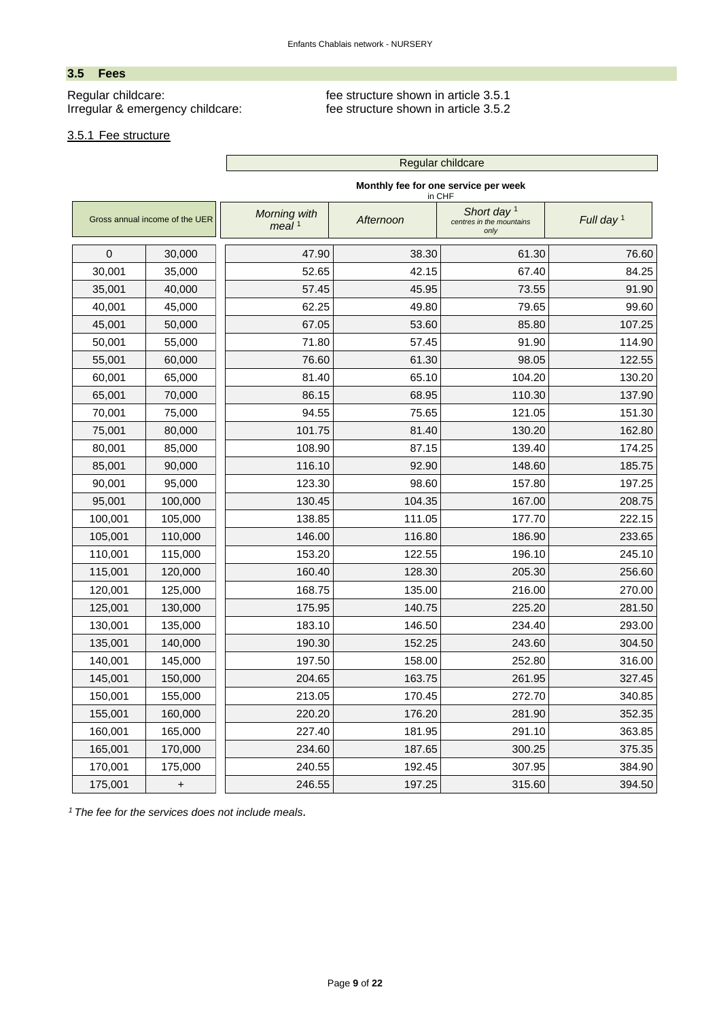# <span id="page-8-0"></span>**3.5 Fees**

Regular childcare:<br>
Irregular & emergency childcare:<br>
fee structure shown in article 3.5.2<br>
fee structure shown in article 3.5.2 Irregular & emergency childcare:

 $\mathcal{L}(\mathcal{A})$ 

# 3.5.1 Fee structure

|             |                                |                                   |           | Regular childcare                                 |              |
|-------------|--------------------------------|-----------------------------------|-----------|---------------------------------------------------|--------------|
|             |                                |                                   |           | Monthly fee for one service per week<br>in CHF    |              |
|             | Gross annual income of the UER | Morning with<br>meal <sup>1</sup> | Afternoon | Short day $1$<br>centres in the mountains<br>only | Full day $1$ |
| 0<br>30,000 |                                | 47.90                             | 38.30     | 61.30                                             | 76.60        |
| 30,001      | 35,000                         | 52.65                             | 42.15     | 67.40                                             | 84.25        |
| 35,001      | 40,000                         | 57.45                             | 45.95     | 73.55                                             | 91.90        |
| 40,001      | 45,000                         | 62.25                             | 49.80     | 79.65                                             | 99.60        |
| 45,001      | 50,000                         | 67.05                             | 53.60     | 85.80                                             | 107.25       |
| 50,001      | 55,000                         | 71.80                             | 57.45     | 91.90                                             | 114.90       |
| 55,001      | 60,000                         | 76.60                             | 61.30     | 98.05                                             | 122.55       |
| 60,001      | 65,000                         | 81.40                             | 65.10     | 104.20                                            | 130.20       |
| 65,001      | 70,000                         | 86.15                             | 68.95     | 110.30                                            | 137.90       |
| 70,001      | 75,000                         | 94.55                             | 75.65     | 121.05                                            | 151.30       |
| 75,001      | 80,000                         | 101.75                            | 81.40     | 130.20                                            | 162.80       |
| 80,001      | 85,000                         | 108.90                            | 87.15     | 139.40                                            | 174.25       |
| 85,001      | 90,000                         | 116.10                            | 92.90     | 148.60                                            | 185.75       |
| 90,001      | 95,000                         | 123.30                            | 98.60     | 157.80                                            | 197.25       |
| 95,001      | 100,000                        | 130.45                            | 104.35    | 167.00                                            | 208.75       |
| 100,001     | 105,000                        | 138.85                            | 111.05    | 177.70                                            | 222.15       |
| 105,001     | 110,000                        | 146.00                            | 116.80    | 186.90                                            | 233.65       |
| 110,001     | 115,000                        | 153.20                            | 122.55    | 196.10                                            | 245.10       |
| 115,001     | 120,000                        | 160.40                            | 128.30    | 205.30                                            | 256.60       |
| 120,001     | 125,000                        | 168.75                            | 135.00    | 216.00                                            | 270.00       |
| 125,001     | 130,000                        | 175.95                            | 140.75    | 225.20                                            | 281.50       |
| 130,001     | 135,000                        | 183.10                            | 146.50    | 234.40                                            | 293.00       |
| 135,001     | 140,000                        | 190.30                            | 152.25    | 243.60                                            | 304.50       |
| 140,001     | 145,000                        | 197.50                            | 158.00    | 252.80                                            | 316.00       |
| 145,001     | 150,000                        | 204.65                            | 163.75    | 261.95                                            | 327.45       |
| 150,001     | 155,000                        | 213.05                            | 170.45    | 272.70                                            | 340.85       |
| 155,001     | 160,000                        | 220.20                            | 176.20    | 281.90                                            | 352.35       |
| 160,001     | 165,000                        | 227.40                            | 181.95    | 291.10                                            | 363.85       |
| 165,001     | 170,000                        | 234.60                            | 187.65    | 300.25                                            | 375.35       |
| 170,001     | 175,000                        | 240.55                            | 192.45    | 307.95                                            | 384.90       |
| 175,001     | $+$                            | 246.55                            | 197.25    | 315.60                                            | 394.50       |

*<sup>1</sup> The fee for the services does not include meals.*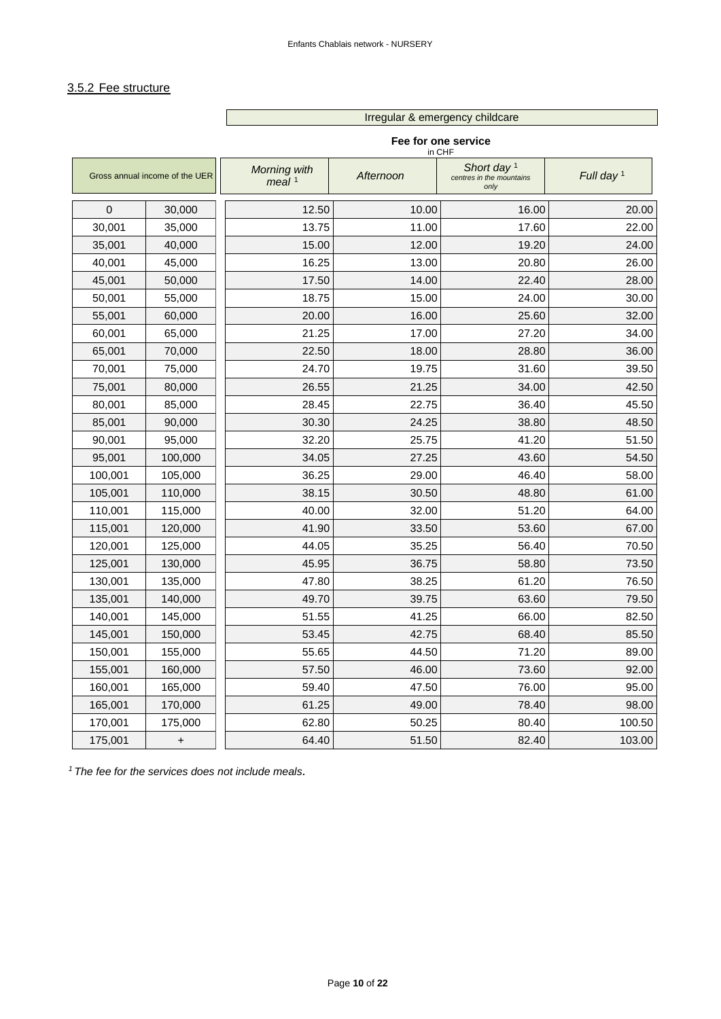Irregular & emergency childcare

# 3.5.2 Fee structure

Г

|              |                                |                          | in CHF    | Fee for one service                               |              |
|--------------|--------------------------------|--------------------------|-----------|---------------------------------------------------|--------------|
|              | Gross annual income of the UER | Morning with<br>meal $1$ | Afternoon | Short day $1$<br>centres in the mountains<br>only | Full day $1$ |
| $\mathbf{0}$ | 30,000                         | 12.50                    | 10.00     | 16.00                                             | 20.00        |
| 30,001       | 35,000                         | 13.75                    | 11.00     | 17.60                                             | 22.00        |
| 35,001       | 40,000                         | 15.00                    | 12.00     | 19.20                                             | 24.00        |
| 40,001       | 45,000                         | 16.25                    | 13.00     | 20.80                                             | 26.00        |
| 45,001       | 50,000                         | 17.50                    | 14.00     | 22.40                                             | 28.00        |
| 50,001       | 55,000                         | 18.75                    | 15.00     | 24.00                                             | 30.00        |
| 55,001       | 60,000                         | 20.00                    | 16.00     | 25.60                                             | 32.00        |
| 60,001       | 65,000                         | 21.25                    | 17.00     | 27.20                                             | 34.00        |
| 65,001       | 70,000                         | 22.50                    | 18.00     | 28.80                                             | 36.00        |
| 70,001       | 75,000                         | 24.70                    | 19.75     | 31.60                                             | 39.50        |
| 75,001       | 80,000                         | 26.55                    | 21.25     | 34.00                                             | 42.50        |
| 80,001       | 85,000                         | 28.45                    | 22.75     | 36.40                                             | 45.50        |
| 85,001       | 90,000                         | 30.30                    | 24.25     | 38.80                                             | 48.50        |
| 90,001       | 95,000                         | 32.20                    | 25.75     | 41.20                                             | 51.50        |
| 95,001       | 100,000                        | 34.05                    | 27.25     | 43.60                                             | 54.50        |
| 100,001      | 105,000                        | 36.25                    | 29.00     | 46.40                                             | 58.00        |
| 105,001      | 110,000                        | 38.15                    | 30.50     | 48.80                                             | 61.00        |
| 110,001      | 115,000                        | 40.00                    | 32.00     | 51.20                                             | 64.00        |
| 115,001      | 120,000                        | 41.90                    | 33.50     | 53.60                                             | 67.00        |
| 120,001      | 125,000                        | 44.05                    | 35.25     | 56.40                                             | 70.50        |
| 125,001      | 130,000                        | 45.95                    | 36.75     | 58.80                                             | 73.50        |
| 130,001      | 135,000                        | 47.80                    | 38.25     | 61.20                                             | 76.50        |
| 135,001      | 140,000                        | 49.70                    | 39.75     | 63.60                                             | 79.50        |
| 140,001      | 145,000                        | 51.55                    | 41.25     | 66.00                                             | 82.50        |
| 145,001      | 150,000                        | 53.45                    | 42.75     | 68.40                                             | 85.50        |
| 150,001      | 155,000                        | 55.65                    | 44.50     | 71.20                                             | 89.00        |
| 155,001      | 160,000                        | 57.50                    | 46.00     | 73.60                                             | 92.00        |
| 160,001      | 165,000                        | 59.40                    | 47.50     | 76.00                                             | 95.00        |
| 165,001      | 170,000                        | 61.25                    | 49.00     | 78.40                                             | 98.00        |
| 170,001      | 175,000                        | 62.80                    | 50.25     | 80.40                                             | 100.50       |
| 175,001      | $\ddot{}$                      | 64.40                    | 51.50     | 82.40                                             | 103.00       |

*<sup>1</sup>The fee for the services does not include meals.*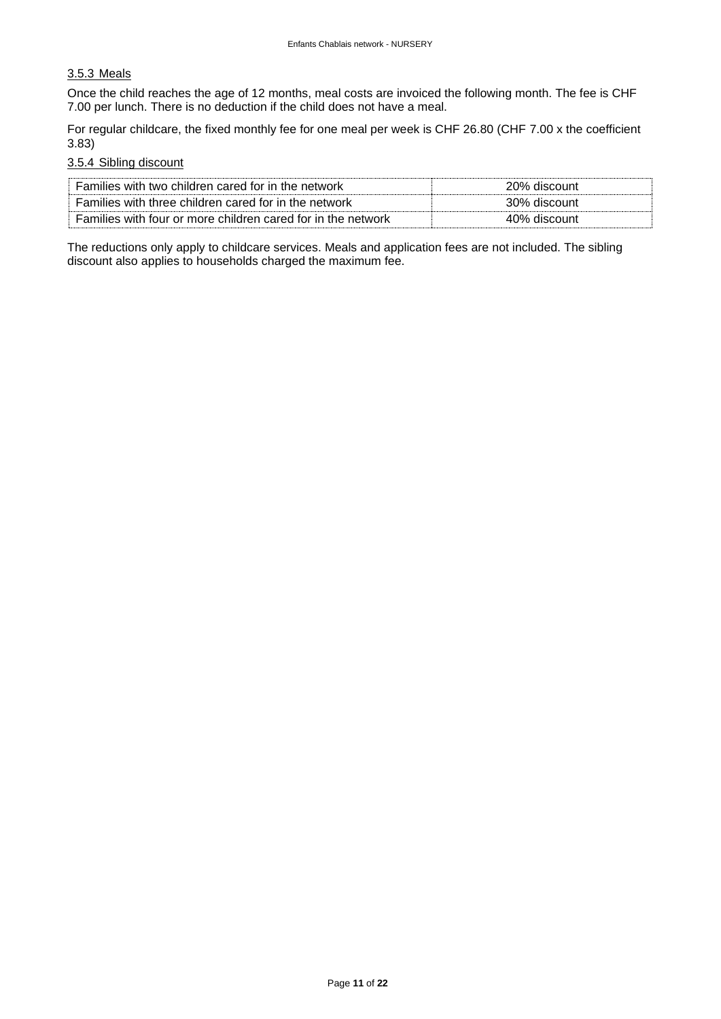# 3.5.3 Meals

Once the child reaches the age of 12 months, meal costs are invoiced the following month. The fee is CHF 7.00 per lunch. There is no deduction if the child does not have a meal.

For regular childcare, the fixed monthly fee for one meal per week is CHF 26.80 (CHF 7.00 x the coefficient 3.83)

#### 3.5.4 Sibling discount

| Families with two children cared for in the network          | 20% discount |
|--------------------------------------------------------------|--------------|
| Families with three children cared for in the network        | 30% discount |
| Families with four or more children cared for in the network | 40% discount |

The reductions only apply to childcare services. Meals and application fees are not included. The sibling discount also applies to households charged the maximum fee.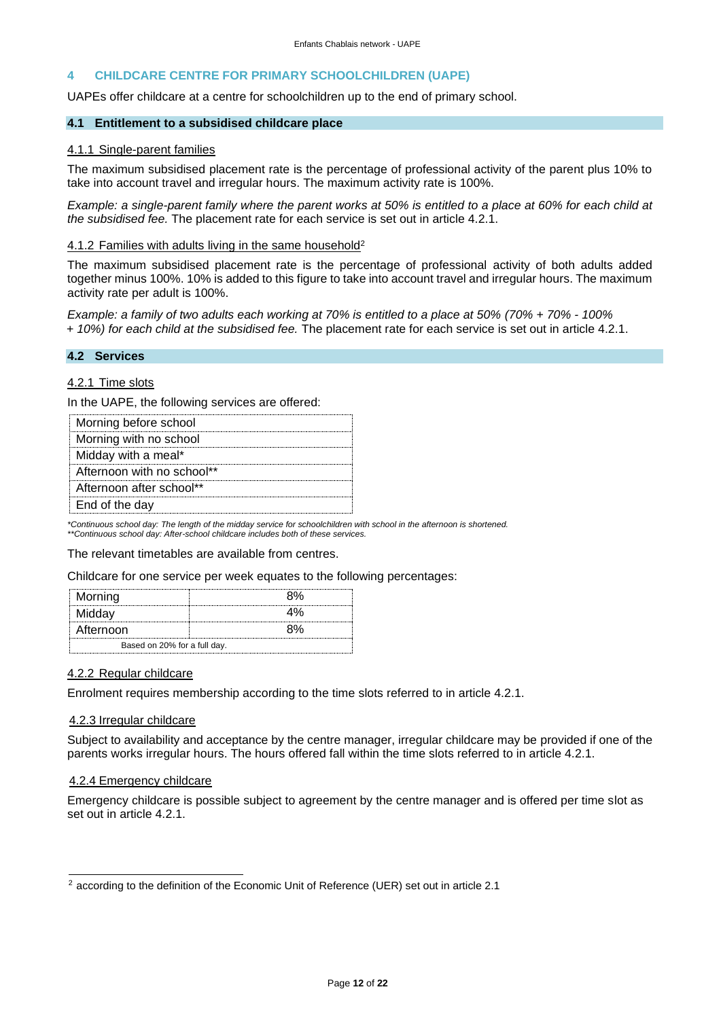#### <span id="page-11-0"></span>**4 CHILDCARE CENTRE FOR PRIMARY SCHOOLCHILDREN (UAPE)**

UAPEs offer childcare at a centre for schoolchildren up to the end of primary school.

#### **4.1 Entitlement to a subsidised childcare place**

#### 4.1.1 Single-parent families

The maximum subsidised placement rate is the percentage of professional activity of the parent plus 10% to take into account travel and irregular hours. The maximum activity rate is 100%.

*Example: a single-parent family where the parent works at 50% is entitled to a place at 60% for each child at the subsidised fee.* The placement rate for each service is set out in article 4.2.1.

#### 4.1.2 Families with adults living in the same household<sup>2</sup>

The maximum subsidised placement rate is the percentage of professional activity of both adults added together minus 100%. 10% is added to this figure to take into account travel and irregular hours. The maximum activity rate per adult is 100%.

*Example: a family of two adults each working at 70% is entitled to a place at 50% (70% + 70% - 100% + 10%) for each child at the subsidised fee.* The placement rate for each service is set out in article 4.2.1.

#### <span id="page-11-1"></span>**4.2 Services**

#### 4.2.1 Time slots

In the UAPE, the following services are offered:

*\*Continuous school day: The length of the midday service for schoolchildren with school in the afternoon is shortened.*

*\*\*Continuous school day: After-school childcare includes both of these services.*

The relevant timetables are available from centres.

Childcare for one service per week equates to the following percentages:

| Morning                      |  |  |  |
|------------------------------|--|--|--|
| Midday                       |  |  |  |
| Afternoon                    |  |  |  |
| Based on 20% for a full day. |  |  |  |

#### 4.2.2 Regular childcare

Enrolment requires membership according to the time slots referred to in article 4.2.1.

#### 4.2.3 Irregular childcare

Subject to availability and acceptance by the centre manager, irregular childcare may be provided if one of the parents works irregular hours. The hours offered fall within the time slots referred to in article 4.2.1.

#### 4.2.4 Emergency childcare

Emergency childcare is possible subject to agreement by the centre manager and is offered per time slot as set out in article 4.2.1.

<sup>2</sup> according to the definition of the Economic Unit of Reference (UER) set out in article 2.1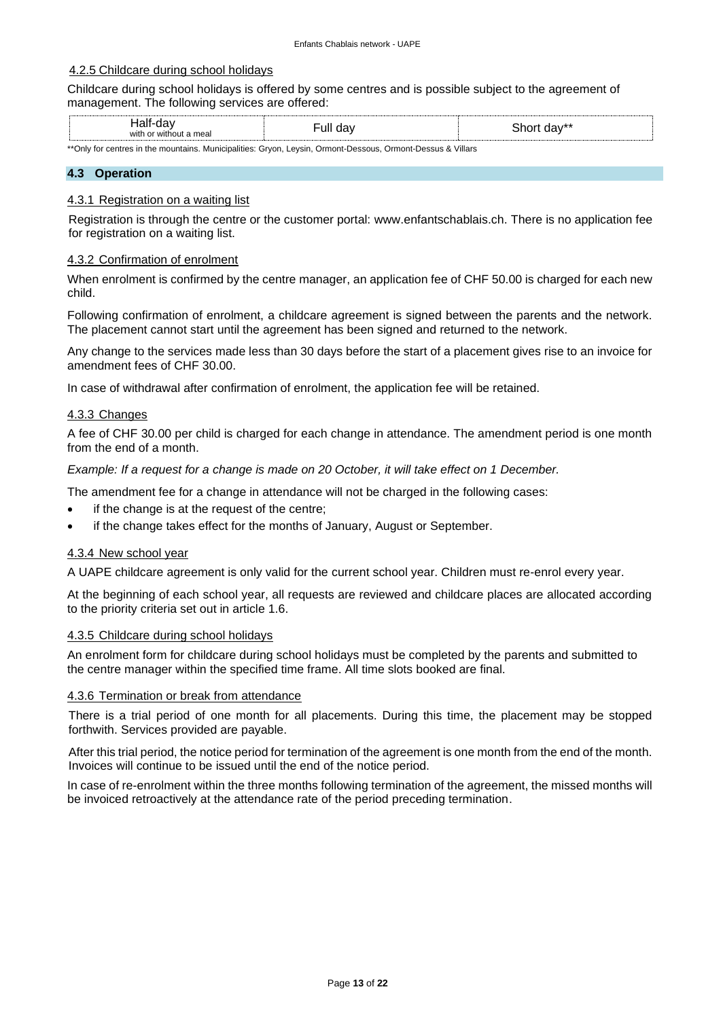#### 4.2.5 Childcare during school holidays

Childcare during school holidays is offered by some centres and is possible subject to the agreement of management. The following services are offered:

| .<br>$\epsilon$<br>ιαι<br>◡<br>$\cdot$<br>with<br>mea<br><br>זוור | ٠ull<br>ua | <br>.<br>.<br>--<br>uav<br>ור<br>$\mathbf{H}$ |
|-------------------------------------------------------------------|------------|-----------------------------------------------|
|                                                                   |            |                                               |

\*\*Only for centres in the mountains. Municipalities: Gryon, Leysin, Ormont-Dessous, Ormont-Dessus & Villars

#### <span id="page-12-0"></span>**4.3 Operation**

#### 4.3.1 Registration on a waiting list

Registration is through the centre or the customer portal: www.enfantschablais.ch. There is no application fee for registration on a waiting list.

#### 4.3.2 Confirmation of enrolment

When enrolment is confirmed by the centre manager, an application fee of CHF 50.00 is charged for each new child.

Following confirmation of enrolment, a childcare agreement is signed between the parents and the network. The placement cannot start until the agreement has been signed and returned to the network.

Any change to the services made less than 30 days before the start of a placement gives rise to an invoice for amendment fees of CHF 30.00.

In case of withdrawal after confirmation of enrolment, the application fee will be retained.

#### 4.3.3 Changes

A fee of CHF 30.00 per child is charged for each change in attendance. The amendment period is one month from the end of a month.

*Example: If a request for a change is made on 20 October, it will take effect on 1 December.*

The amendment fee for a change in attendance will not be charged in the following cases:

- if the change is at the request of the centre;
- if the change takes effect for the months of January, August or September.

#### 4.3.4 New school year

A UAPE childcare agreement is only valid for the current school year. Children must re-enrol every year.

At the beginning of each school year, all requests are reviewed and childcare places are allocated according to the priority criteria set out in article 1.6.

#### 4.3.5 Childcare during school holidays

An enrolment form for childcare during school holidays must be completed by the parents and submitted to the centre manager within the specified time frame. All time slots booked are final.

#### 4.3.6 Termination or break from attendance

There is a trial period of one month for all placements. During this time, the placement may be stopped forthwith. Services provided are payable.

After this trial period, the notice period for termination of the agreement is one month from the end of the month. Invoices will continue to be issued until the end of the notice period.

In case of re-enrolment within the three months following termination of the agreement, the missed months will be invoiced retroactively at the attendance rate of the period preceding termination.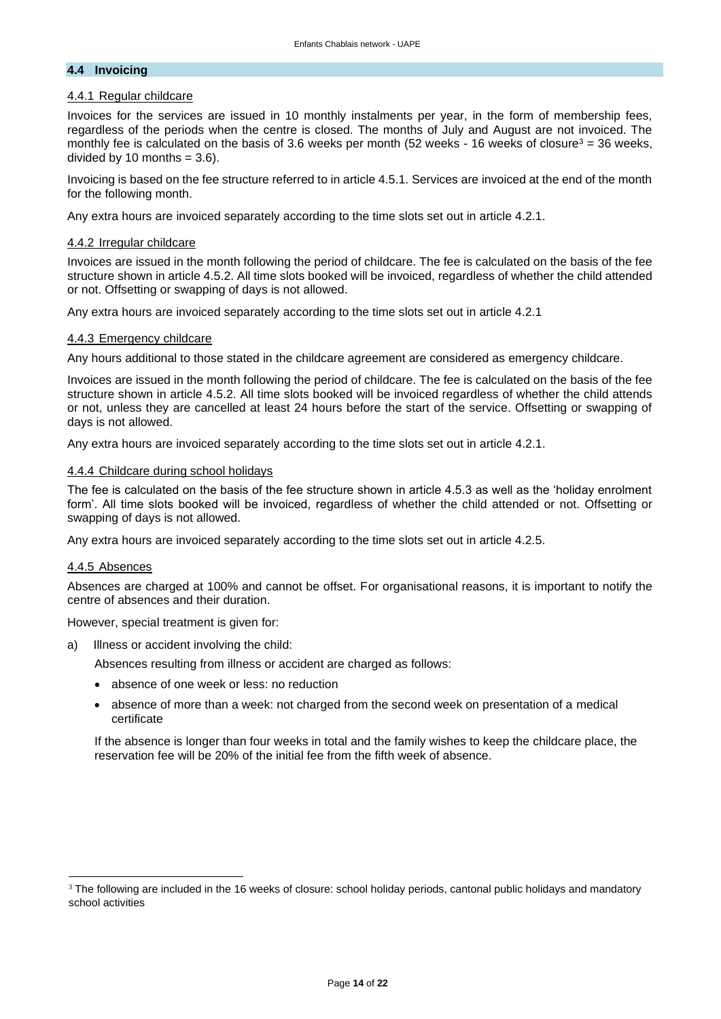#### <span id="page-13-0"></span>**4.4 Invoicing**

# 4.4.1 Regular childcare

Invoices for the services are issued in 10 monthly instalments per year, in the form of membership fees, regardless of the periods when the centre is closed. The months of July and August are not invoiced. The monthly fee is calculated on the basis of 3.6 weeks per month (52 weeks - 16 weeks of closure<sup>3</sup> = 36 weeks, divided by 10 months  $= 3.6$ ).

Invoicing is based on the fee structure referred to in article 4.5.1. Services are invoiced at the end of the month for the following month.

Any extra hours are invoiced separately according to the time slots set out in article 4.2.1.

#### 4.4.2 Irregular childcare

Invoices are issued in the month following the period of childcare. The fee is calculated on the basis of the fee structure shown in article 4.5.2. All time slots booked will be invoiced, regardless of whether the child attended or not. Offsetting or swapping of days is not allowed.

Any extra hours are invoiced separately according to the time slots set out in article 4.2.1

#### 4.4.3 Emergency childcare

Any hours additional to those stated in the childcare agreement are considered as emergency childcare.

Invoices are issued in the month following the period of childcare. The fee is calculated on the basis of the fee structure shown in article 4.5.2. All time slots booked will be invoiced regardless of whether the child attends or not, unless they are cancelled at least 24 hours before the start of the service. Offsetting or swapping of days is not allowed.

Any extra hours are invoiced separately according to the time slots set out in article 4.2.1.

#### 4.4.4 Childcare during school holidays

The fee is calculated on the basis of the fee structure shown in article 4.5.3 as well as the 'holiday enrolment form'. All time slots booked will be invoiced, regardless of whether the child attended or not. Offsetting or swapping of days is not allowed.

Any extra hours are invoiced separately according to the time slots set out in article 4.2.5.

#### 4.4.5 Absences

Absences are charged at 100% and cannot be offset. For organisational reasons, it is important to notify the centre of absences and their duration.

However, special treatment is given for:

a) Illness or accident involving the child:

Absences resulting from illness or accident are charged as follows:

- absence of one week or less: no reduction
- absence of more than a week: not charged from the second week on presentation of a medical certificate

If the absence is longer than four weeks in total and the family wishes to keep the childcare place, the reservation fee will be 20% of the initial fee from the fifth week of absence.

<sup>&</sup>lt;sup>3</sup> The following are included in the 16 weeks of closure: school holiday periods, cantonal public holidays and mandatory school activities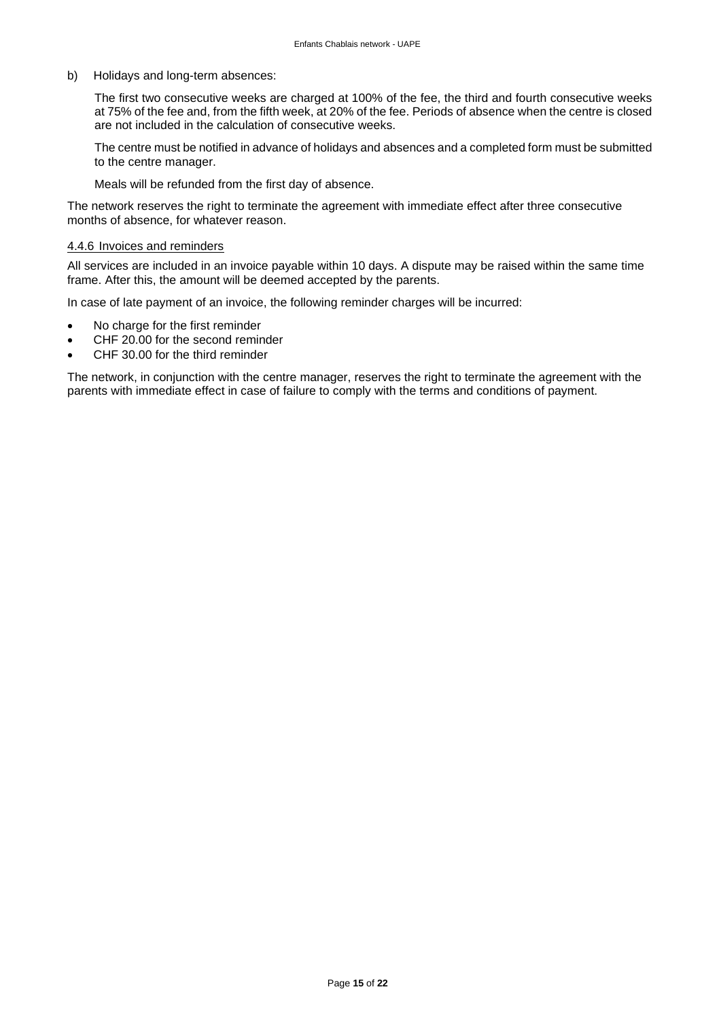b) Holidays and long-term absences:

The first two consecutive weeks are charged at 100% of the fee, the third and fourth consecutive weeks at 75% of the fee and, from the fifth week, at 20% of the fee. Periods of absence when the centre is closed are not included in the calculation of consecutive weeks.

The centre must be notified in advance of holidays and absences and a completed form must be submitted to the centre manager.

Meals will be refunded from the first day of absence.

The network reserves the right to terminate the agreement with immediate effect after three consecutive months of absence, for whatever reason.

#### 4.4.6 Invoices and reminders

All services are included in an invoice payable within 10 days. A dispute may be raised within the same time frame. After this, the amount will be deemed accepted by the parents.

In case of late payment of an invoice, the following reminder charges will be incurred:

- No charge for the first reminder
- CHF 20.00 for the second reminder
- CHF 30.00 for the third reminder

The network, in conjunction with the centre manager, reserves the right to terminate the agreement with the parents with immediate effect in case of failure to comply with the terms and conditions of payment.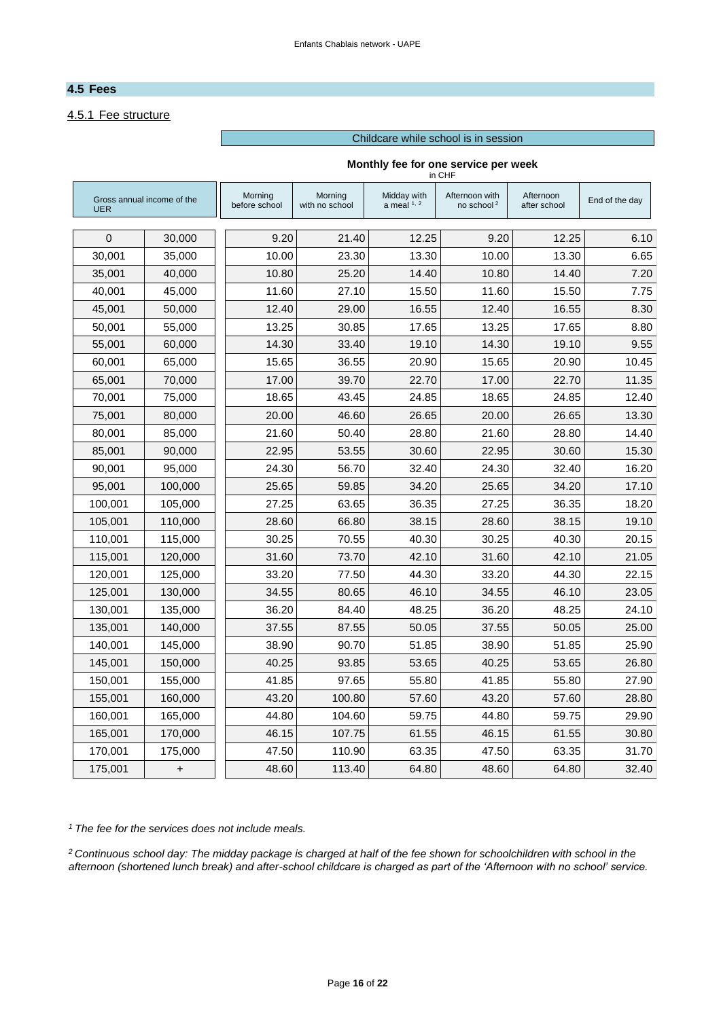# <span id="page-15-0"></span>**4.5 Fees**

# 4.5.1 Fee structure

#### Childcare while school is in session

#### **Monthly fee for one service per week**

in CHF

| Gross annual income of the<br><b>UER</b> |           | Morning<br>before school | Morning<br>with no school | Midday with<br>a meal $1, 2$ | Afternoon with<br>no school <sup>2</sup> | Afternoon<br>after school | End of the day |
|------------------------------------------|-----------|--------------------------|---------------------------|------------------------------|------------------------------------------|---------------------------|----------------|
| $\mathbf{0}$                             | 30,000    | 9.20                     | 21.40                     | 12.25                        | 9.20                                     | 12.25                     | 6.10           |
| 30.001                                   | 35.000    | 10.00                    | 23.30                     | 13.30                        | 10.00                                    | 13.30                     | 6.65           |
| 35,001                                   | 40,000    | 10.80                    | 25.20                     | 14.40                        | 10.80                                    | 14.40                     | 7.20           |
| 40,001                                   | 45,000    | 11.60                    | 27.10                     | 15.50                        | 11.60                                    | 15.50                     | 7.75           |
| 45,001                                   | 50,000    | 12.40                    | 29.00                     | 16.55                        | 12.40                                    | 16.55                     | 8.30           |
| 50,001                                   | 55,000    | 13.25                    | 30.85                     | 17.65                        | 13.25                                    | 17.65                     | 8.80           |
| 55,001                                   | 60,000    | 14.30                    | 33.40                     | 19.10                        | 14.30                                    | 19.10                     | 9.55           |
| 60,001                                   | 65,000    | 15.65                    | 36.55                     | 20.90                        | 15.65                                    | 20.90                     | 10.45          |
| 65,001                                   | 70,000    | 17.00                    | 39.70                     | 22.70                        | 17.00                                    | 22.70                     | 11.35          |
| 70,001                                   | 75,000    | 18.65                    | 43.45                     | 24.85                        | 18.65                                    | 24.85                     | 12.40          |
| 75,001                                   | 80,000    | 20.00                    | 46.60                     | 26.65                        | 20.00                                    | 26.65                     | 13.30          |
| 80,001                                   | 85,000    | 21.60                    | 50.40                     | 28.80                        | 21.60                                    | 28.80                     | 14.40          |
| 85,001                                   | 90,000    | 22.95                    | 53.55                     | 30.60                        | 22.95                                    | 30.60                     | 15.30          |
| 90,001                                   | 95,000    | 24.30                    | 56.70                     | 32.40                        | 24.30                                    | 32.40                     | 16.20          |
| 95,001                                   | 100,000   | 25.65                    | 59.85                     | 34.20                        | 25.65                                    | 34.20                     | 17.10          |
| 100,001                                  | 105,000   | 27.25                    | 63.65                     | 36.35                        | 27.25                                    | 36.35                     | 18.20          |
| 105,001                                  | 110,000   | 28.60                    | 66.80                     | 38.15                        | 28.60                                    | 38.15                     | 19.10          |
| 110,001                                  | 115,000   | 30.25                    | 70.55                     | 40.30                        | 30.25                                    | 40.30                     | 20.15          |
| 115,001                                  | 120,000   | 31.60                    | 73.70                     | 42.10                        | 31.60                                    | 42.10                     | 21.05          |
| 120,001                                  | 125,000   | 33.20                    | 77.50                     | 44.30                        | 33.20                                    | 44.30                     | 22.15          |
| 125,001                                  | 130,000   | 34.55                    | 80.65                     | 46.10                        | 34.55                                    | 46.10                     | 23.05          |
| 130,001                                  | 135,000   | 36.20                    | 84.40                     | 48.25                        | 36.20                                    | 48.25                     | 24.10          |
| 135,001                                  | 140,000   | 37.55                    | 87.55                     | 50.05                        | 37.55                                    | 50.05                     | 25.00          |
| 140,001                                  | 145,000   | 38.90                    | 90.70                     | 51.85                        | 38.90                                    | 51.85                     | 25.90          |
| 145,001                                  | 150,000   | 40.25                    | 93.85                     | 53.65                        | 40.25                                    | 53.65                     | 26.80          |
| 150,001                                  | 155,000   | 41.85                    | 97.65                     | 55.80                        | 41.85                                    | 55.80                     | 27.90          |
| 155,001                                  | 160,000   | 43.20                    | 100.80                    | 57.60                        | 43.20                                    | 57.60                     | 28.80          |
| 160.001                                  | 165.000   | 44.80                    | 104.60                    | 59.75                        | 44.80                                    | 59.75                     | 29.90          |
| 165,001                                  | 170,000   | 46.15                    | 107.75                    | 61.55                        | 46.15                                    | 61.55                     | 30.80          |
| 170,001                                  | 175,000   | 47.50                    | 110.90                    | 63.35                        | 47.50                                    | 63.35                     | 31.70          |
| 175,001                                  | $\pmb{+}$ | 48.60                    | 113.40                    | 64.80                        | 48.60                                    | 64.80                     | 32.40          |

*<sup>1</sup> The fee for the services does not include meals.*

*<sup>2</sup> Continuous school day: The midday package is charged at half of the fee shown for schoolchildren with school in the afternoon (shortened lunch break) and after-school childcare is charged as part of the 'Afternoon with no school' service.*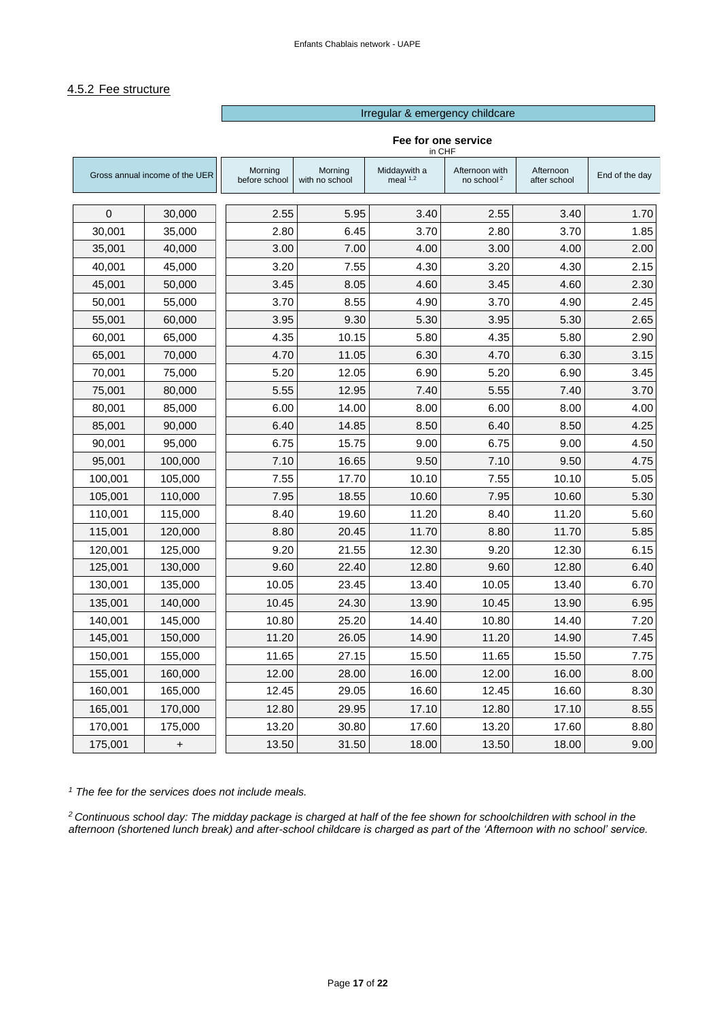#### 4.5.2 Fee structure

#### Irregular & emergency childcare

| in CHF                         |           |                          |                           |                            |                                          |                           |                |
|--------------------------------|-----------|--------------------------|---------------------------|----------------------------|------------------------------------------|---------------------------|----------------|
| Gross annual income of the UER |           | Morning<br>before school | Morning<br>with no school | Middaywith a<br>meal $1,2$ | Afternoon with<br>no school <sup>2</sup> | Afternoon<br>after school | End of the day |
| $\mathbf 0$                    |           | 2.55                     | 5.95                      | 3.40                       | 2.55                                     | 3.40                      | 1.70           |
|                                | 30,000    |                          |                           |                            |                                          | 3.70                      |                |
| 30,001                         | 35,000    | 2.80                     | 6.45                      | 3.70                       | 2.80                                     |                           | 1.85           |
| 35,001                         | 40,000    | 3.00                     | 7.00                      | 4.00                       | 3.00                                     | 4.00                      | 2.00           |
| 40,001                         | 45,000    | 3.20                     | 7.55                      | 4.30                       | 3.20                                     | 4.30                      | 2.15           |
| 45,001                         | 50,000    | 3.45                     | 8.05                      | 4.60                       | 3.45                                     | 4.60                      | 2.30           |
| 50.001                         | 55.000    | 3.70                     | 8.55                      | 4.90                       | 3.70                                     | 4.90                      | 2.45           |
| 55,001                         | 60,000    | 3.95                     | 9.30                      | 5.30                       | 3.95                                     | 5.30                      | 2.65           |
| 60,001                         | 65,000    | 4.35                     | 10.15                     | 5.80                       | 4.35                                     | 5.80                      | 2.90           |
| 65.001                         | 70.000    | 4.70                     | 11.05                     | 6.30                       | 4.70                                     | 6.30                      | 3.15           |
| 70,001                         | 75,000    | 5.20                     | 12.05                     | 6.90                       | 5.20                                     | 6.90                      | 3.45           |
| 75,001                         | 80,000    | 5.55                     | 12.95                     | 7.40                       | 5.55                                     | 7.40                      | 3.70           |
| 80,001                         | 85,000    | 6.00                     | 14.00                     | 8.00                       | 6.00                                     | 8.00                      | 4.00           |
| 85,001                         | 90,000    | 6.40                     | 14.85                     | 8.50                       | 6.40                                     | 8.50                      | 4.25           |
| 90,001                         | 95,000    | 6.75                     | 15.75                     | 9.00                       | 6.75                                     | 9.00                      | 4.50           |
| 95,001                         | 100,000   | 7.10                     | 16.65                     | 9.50                       | 7.10                                     | 9.50                      | 4.75           |
| 100,001                        | 105,000   | 7.55                     | 17.70                     | 10.10                      | 7.55                                     | 10.10                     | 5.05           |
| 105,001                        | 110,000   | 7.95                     | 18.55                     | 10.60                      | 7.95                                     | 10.60                     | 5.30           |
| 110,001                        | 115,000   | 8.40                     | 19.60                     | 11.20                      | 8.40                                     | 11.20                     | 5.60           |
| 115,001                        | 120,000   | 8.80                     | 20.45                     | 11.70                      | 8.80                                     | 11.70                     | 5.85           |
| 120,001                        | 125,000   | 9.20                     | 21.55                     | 12.30                      | 9.20                                     | 12.30                     | 6.15           |
| 125,001                        | 130,000   | 9.60                     | 22.40                     | 12.80                      | 9.60                                     | 12.80                     | 6.40           |
| 130,001                        | 135,000   | 10.05                    | 23.45                     | 13.40                      | 10.05                                    | 13.40                     | 6.70           |
| 135,001                        | 140,000   | 10.45                    | 24.30                     | 13.90                      | 10.45                                    | 13.90                     | 6.95           |
| 140,001                        | 145,000   | 10.80                    | 25.20                     | 14.40                      | 10.80                                    | 14.40                     | 7.20           |
| 145,001                        | 150,000   | 11.20                    | 26.05                     | 14.90                      | 11.20                                    | 14.90                     | 7.45           |
| 150,001                        | 155,000   | 11.65                    | 27.15                     | 15.50                      | 11.65                                    | 15.50                     | 7.75           |
| 155,001                        | 160,000   | 12.00                    | 28.00                     | 16.00                      | 12.00                                    | 16.00                     | 8.00           |
| 160,001                        | 165,000   | 12.45                    | 29.05                     | 16.60                      | 12.45                                    | 16.60                     | 8.30           |
| 165,001                        | 170,000   | 12.80                    | 29.95                     | 17.10                      | 12.80                                    | 17.10                     | 8.55           |
| 170,001                        | 175,000   | 13.20                    | 30.80                     | 17.60                      | 13.20                                    | 17.60                     | 8.80           |
| 175,001                        | $\ddot{}$ | 13.50                    | 31.50                     | 18.00                      | 13.50                                    | 18.00                     | 9.00           |

#### **Fee for one service**

*<sup>1</sup> The fee for the services does not include meals.*

*<sup>2</sup> Continuous school day: The midday package is charged at half of the fee shown for schoolchildren with school in the afternoon (shortened lunch break) and after-school childcare is charged as part of the 'Afternoon with no school' service.*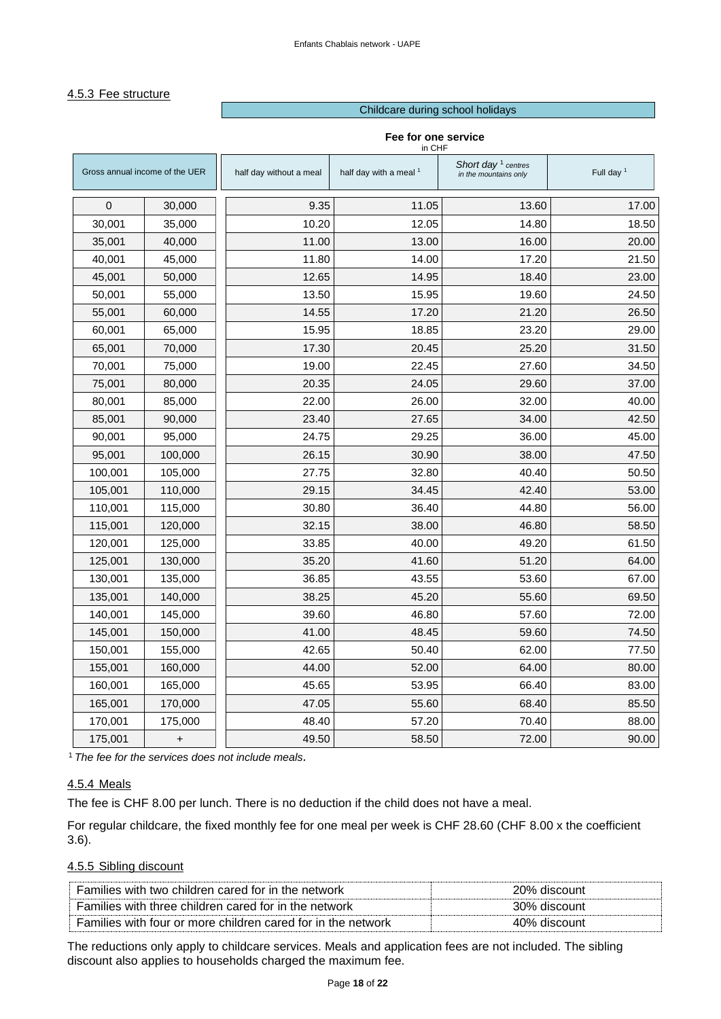#### 4.5.3 Fee structure

#### Childcare during school holidays

|                                |         |                         | in CHF                 |                                                |                       |  |  |
|--------------------------------|---------|-------------------------|------------------------|------------------------------------------------|-----------------------|--|--|
| Gross annual income of the UER |         | half day without a meal | half day with a meal 1 | Short day $1$ centres<br>in the mountains only | Full day <sup>1</sup> |  |  |
| $\mathbf 0$                    | 30,000  | 9.35                    | 11.05                  | 13.60                                          | 17.00                 |  |  |
| 30,001                         | 35,000  | 10.20                   | 12.05                  | 14.80                                          | 18.50                 |  |  |
| 35,001                         | 40,000  | 11.00                   | 13.00                  | 16.00                                          | 20.00                 |  |  |
| 40,001                         | 45,000  | 11.80                   | 14.00                  | 17.20                                          | 21.50                 |  |  |
| 45,001                         | 50,000  | 12.65                   | 14.95                  | 18.40                                          | 23.00                 |  |  |
| 50,001                         | 55,000  | 13.50                   | 15.95                  | 19.60                                          | 24.50                 |  |  |
| 55,001                         | 60,000  | 14.55                   | 17.20                  | 21.20                                          | 26.50                 |  |  |
| 60,001                         | 65,000  | 15.95                   | 18.85                  | 23.20                                          | 29.00                 |  |  |
| 65,001                         | 70,000  | 17.30                   | 20.45                  | 25.20                                          | 31.50                 |  |  |
| 70,001                         | 75,000  | 19.00                   | 22.45                  | 27.60                                          | 34.50                 |  |  |
| 75,001                         | 80,000  | 20.35                   | 24.05                  | 29.60                                          | 37.00                 |  |  |
| 80,001                         | 85,000  | 22.00                   | 26.00                  | 32.00                                          | 40.00                 |  |  |
| 85,001                         | 90,000  | 23.40                   | 27.65                  | 34.00                                          | 42.50                 |  |  |
| 90,001                         | 95,000  | 24.75                   | 29.25                  | 36.00                                          | 45.00                 |  |  |
| 95,001                         | 100,000 | 26.15                   | 30.90                  | 38.00                                          | 47.50                 |  |  |
| 100,001                        | 105,000 | 27.75                   | 32.80                  | 40.40                                          | 50.50                 |  |  |
| 105,001                        | 110,000 | 29.15                   | 34.45                  | 42.40                                          | 53.00                 |  |  |
| 110,001                        | 115,000 | 30.80                   | 36.40                  | 44.80                                          | 56.00                 |  |  |
| 115,001                        | 120,000 | 32.15                   | 38.00                  | 46.80                                          | 58.50                 |  |  |
| 120,001                        | 125,000 | 33.85                   | 40.00                  | 49.20                                          | 61.50                 |  |  |
| 125,001                        | 130,000 | 35.20                   | 41.60                  | 51.20                                          | 64.00                 |  |  |
| 130,001                        | 135,000 | 36.85                   | 43.55                  | 53.60                                          | 67.00                 |  |  |
| 135,001                        | 140,000 | 38.25                   | 45.20                  | 55.60                                          | 69.50                 |  |  |
| 140,001                        | 145,000 | 39.60                   | 46.80                  | 57.60                                          | 72.00                 |  |  |
| 145,001                        | 150,000 | 41.00                   | 48.45                  | 59.60                                          | 74.50                 |  |  |
| 150,001                        | 155,000 | 42.65                   | 50.40                  | 62.00                                          | 77.50                 |  |  |
| 155,001                        | 160,000 | 44.00                   | 52.00                  | 64.00                                          | 80.00                 |  |  |
| 160,001                        | 165,000 | 45.65                   | 53.95                  | 66.40                                          | 83.00                 |  |  |
| 165,001                        | 170,000 | 47.05                   | 55.60                  | 68.40                                          | 85.50                 |  |  |
| 170,001                        | 175,000 | 48.40                   | 57.20                  | 70.40                                          | 88.00                 |  |  |
| 175,001                        | +       | 49.50                   | 58.50                  | 72.00                                          | 90.00                 |  |  |

#### **Fee for one service**

<sup>1</sup>*The fee for the services does not include meals.*

# 4.5.4 Meals

The fee is CHF 8.00 per lunch. There is no deduction if the child does not have a meal.

For regular childcare, the fixed monthly fee for one meal per week is CHF 28.60 (CHF 8.00 x the coefficient 3.6).

#### 4.5.5 Sibling discount

| Families with two children cared for in the network          | 20% discount |
|--------------------------------------------------------------|--------------|
| Families with three children cared for in the network        | 30% discount |
| Families with four or more children cared for in the network | 40% discount |

<span id="page-17-0"></span>The reductions only apply to childcare services. Meals and application fees are not included. The sibling discount also applies to households charged the maximum fee.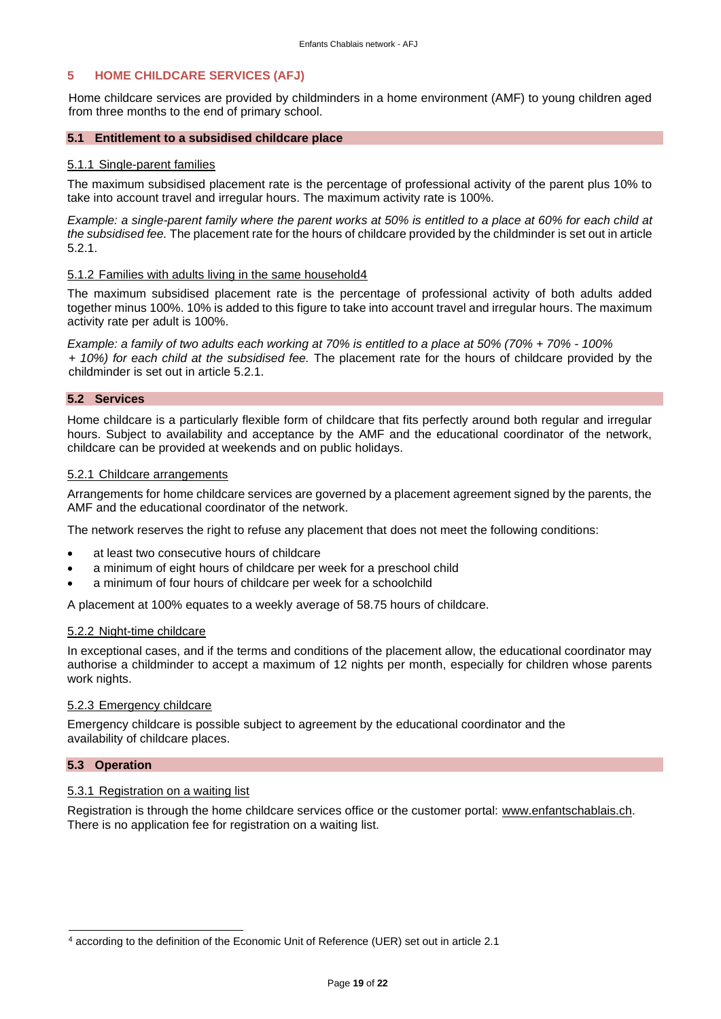#### **5 HOME CHILDCARE SERVICES (AFJ)**

Home childcare services are provided by childminders in a home environment (AMF) to young children aged from three months to the end of primary school.

#### **5.1 Entitlement to a subsidised childcare place**

#### 5.1.1 Single-parent families

The maximum subsidised placement rate is the percentage of professional activity of the parent plus 10% to take into account travel and irregular hours. The maximum activity rate is 100%.

*Example: a single-parent family where the parent works at 50% is entitled to a place at 60% for each child at the subsidised fee.* The placement rate for the hours of childcare provided by the childminder is set out in article 5.2.1.

#### 5.1.2 Families with adults living in the same household4

The maximum subsidised placement rate is the percentage of professional activity of both adults added together minus 100%. 10% is added to this figure to take into account travel and irregular hours. The maximum activity rate per adult is 100%.

*Example: a family of two adults each working at 70% is entitled to a place at 50% (70% + 70% - 100% + 10%) for each child at the subsidised fee.* The placement rate for the hours of childcare provided by the childminder is set out in article 5.2.1.

#### <span id="page-18-0"></span>**5.2 Services**

Home childcare is a particularly flexible form of childcare that fits perfectly around both regular and irregular hours. Subject to availability and acceptance by the AMF and the educational coordinator of the network, childcare can be provided at weekends and on public holidays.

#### 5.2.1 Childcare arrangements

Arrangements for home childcare services are governed by a placement agreement signed by the parents, the AMF and the educational coordinator of the network.

The network reserves the right to refuse any placement that does not meet the following conditions:

- at least two consecutive hours of childcare
- a minimum of eight hours of childcare per week for a preschool child
- a minimum of four hours of childcare per week for a schoolchild

A placement at 100% equates to a weekly average of 58.75 hours of childcare.

#### 5.2.2 Night-time childcare

In exceptional cases, and if the terms and conditions of the placement allow, the educational coordinator may authorise a childminder to accept a maximum of 12 nights per month, especially for children whose parents work nights.

#### 5.2.3 Emergency childcare

Emergency childcare is possible subject to agreement by the educational coordinator and the availability of childcare places.

#### <span id="page-18-1"></span>**5.3 Operation**

#### 5.3.1 Registration on a waiting list

Registration is through the home childcare services office or the customer portal: www.enfantschablais.ch. There is no application fee for registration on a waiting list.

<sup>4</sup> according to the definition of the Economic Unit of Reference (UER) set out in article 2.1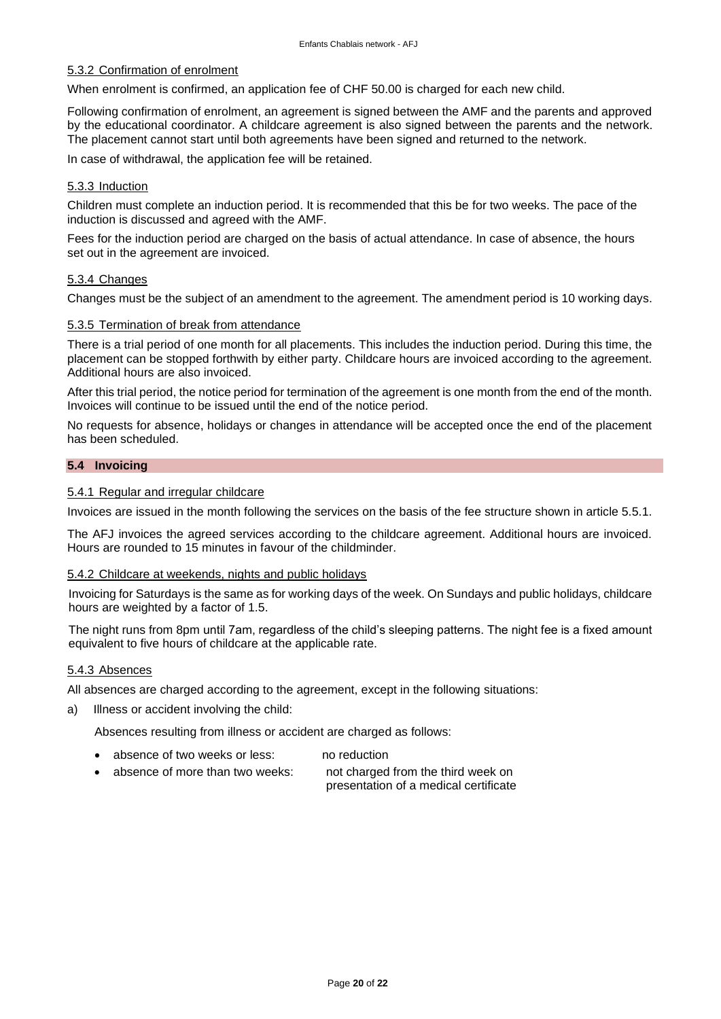#### 5.3.2 Confirmation of enrolment

When enrolment is confirmed, an application fee of CHF 50.00 is charged for each new child.

Following confirmation of enrolment, an agreement is signed between the AMF and the parents and approved by the educational coordinator. A childcare agreement is also signed between the parents and the network. The placement cannot start until both agreements have been signed and returned to the network.

In case of withdrawal, the application fee will be retained.

#### 5.3.3 Induction

Children must complete an induction period. It is recommended that this be for two weeks. The pace of the induction is discussed and agreed with the AMF.

Fees for the induction period are charged on the basis of actual attendance. In case of absence, the hours set out in the agreement are invoiced.

#### 5.3.4 Changes

Changes must be the subject of an amendment to the agreement. The amendment period is 10 working days.

#### 5.3.5 Termination of break from attendance

There is a trial period of one month for all placements. This includes the induction period. During this time, the placement can be stopped forthwith by either party. Childcare hours are invoiced according to the agreement. Additional hours are also invoiced.

After this trial period, the notice period for termination of the agreement is one month from the end of the month. Invoices will continue to be issued until the end of the notice period.

No requests for absence, holidays or changes in attendance will be accepted once the end of the placement has been scheduled.

#### <span id="page-19-0"></span>**5.4 Invoicing**

#### 5.4.1 Regular and irregular childcare

Invoices are issued in the month following the services on the basis of the fee structure shown in article 5.5.1.

The AFJ invoices the agreed services according to the childcare agreement. Additional hours are invoiced. Hours are rounded to 15 minutes in favour of the childminder.

#### 5.4.2 Childcare at weekends, nights and public holidays

Invoicing for Saturdays is the same as for working days of the week. On Sundays and public holidays, childcare hours are weighted by a factor of 1.5.

The night runs from 8pm until 7am, regardless of the child's sleeping patterns. The night fee is a fixed amount equivalent to five hours of childcare at the applicable rate.

#### 5.4.3 Absences

All absences are charged according to the agreement, except in the following situations:

a) Illness or accident involving the child:

Absences resulting from illness or accident are charged as follows:

- absence of two weeks or less: no reduction
- absence of more than two weeks: not charged from the third week on

presentation of a medical certificate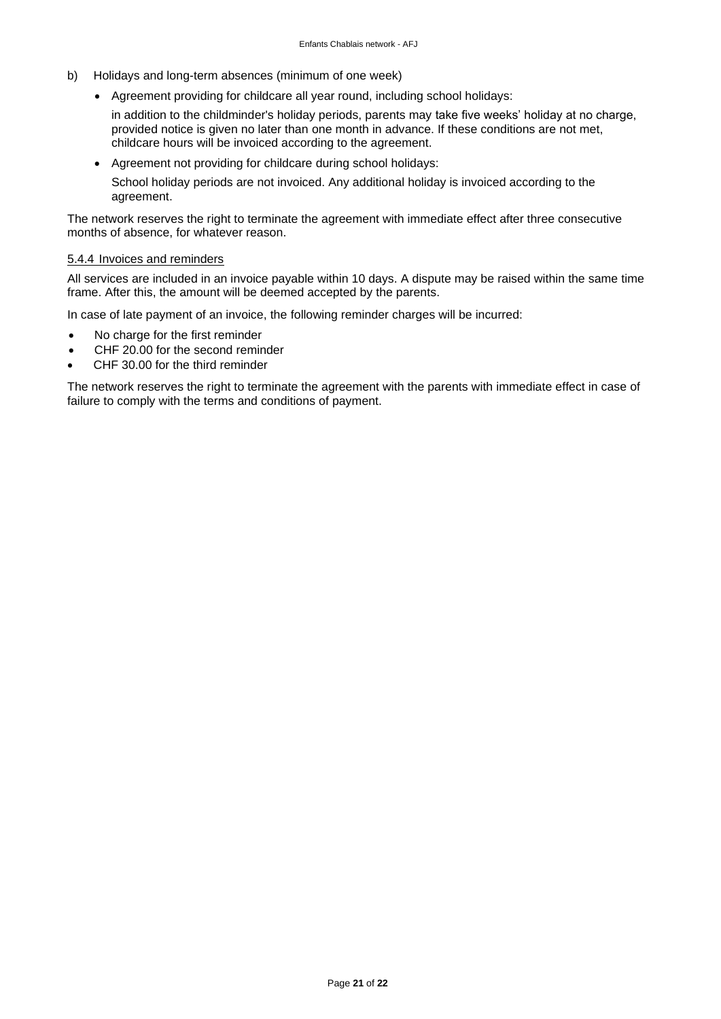- b) Holidays and long-term absences (minimum of one week)
	- Agreement providing for childcare all year round, including school holidays:

in addition to the childminder's holiday periods, parents may take five weeks' holiday at no charge, provided notice is given no later than one month in advance. If these conditions are not met, childcare hours will be invoiced according to the agreement.

• Agreement not providing for childcare during school holidays:

School holiday periods are not invoiced. Any additional holiday is invoiced according to the agreement.

The network reserves the right to terminate the agreement with immediate effect after three consecutive months of absence, for whatever reason.

#### 5.4.4 Invoices and reminders

All services are included in an invoice payable within 10 days. A dispute may be raised within the same time frame. After this, the amount will be deemed accepted by the parents.

In case of late payment of an invoice, the following reminder charges will be incurred:

- No charge for the first reminder
- CHF 20.00 for the second reminder
- CHF 30.00 for the third reminder

The network reserves the right to terminate the agreement with the parents with immediate effect in case of failure to comply with the terms and conditions of payment.